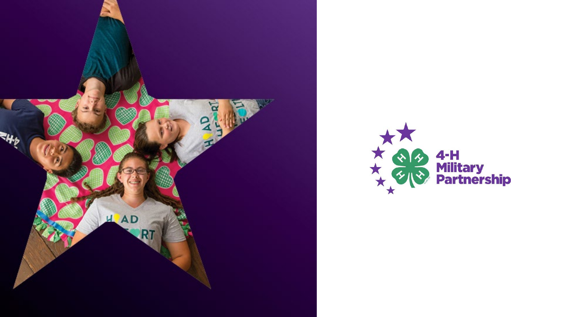

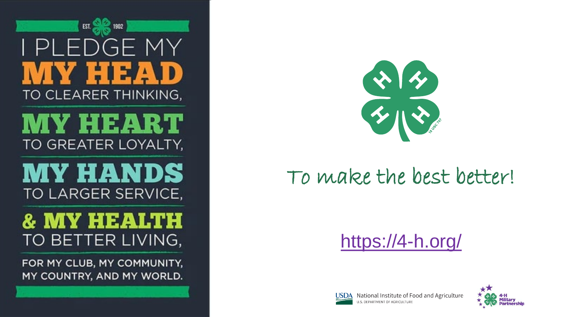EST.  $G_{\mathsf{F}}$ **SIEWA** TO CLEARER THINKING,

# AY HEART TO GREATER LOYALTY,

**MY HANDS** TO LARGER SERVICE,



FOR MY CLUB, MY COMMUNITY, MY COUNTRY, AND MY WORLD.

<u> 1989 - An t-San Francisco a component a component a component a component a component and the component and the component and the component and the component and the component and the component and the component and the </u>



# To make the best better!

# [https://4-h.org/](about:blank)





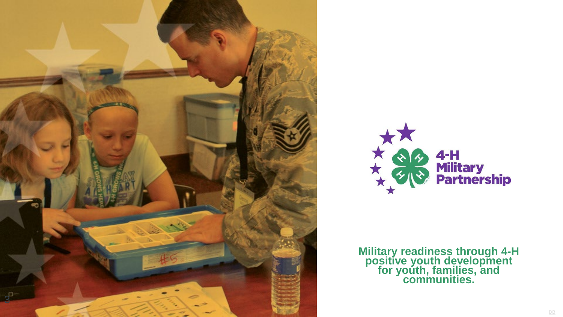



**Military readiness through 4 -H positive youth development for youth, families, and communities.**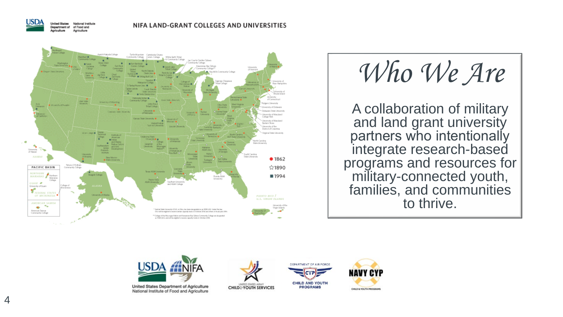

**United States National Institute** Department of of Food and Apriculture



*Who We Are*

A collaboration of military and land grant university partners who intentionally integrate research -based programs and resources for military -connected youth, families, and communities to thrive.



United States Department of Agriculture National Institute of Food and Agriculture







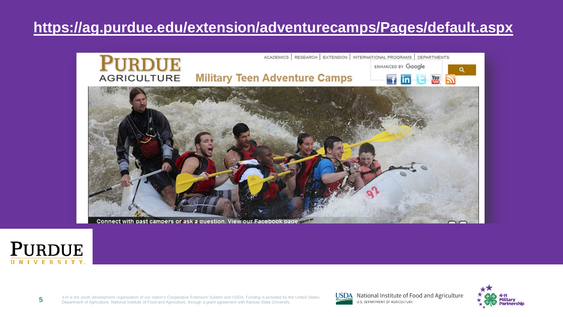#### **[https://ag.purdue.edu/extension/adventurecamps/Pages/default.aspx](about:blank)**



Connect with past campers or ask a question. View our Facebook page.



4-H is the youth development organization of our nation's Cooperative Extension System and USDA. Funding is provided by the United States Department of Agriculture, National Institute of Food and Agriculture, through a grant agreement with Kansas State University. **5**



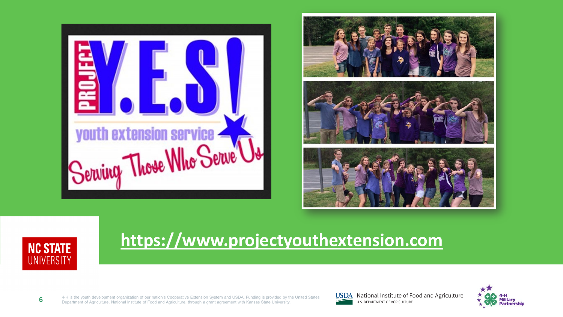





**6**

### **[https://www.projectyouthextension.com](about:blank)**

4-H is the youth development organization of our nation's Cooperative Extension System and USDA. Funding is provided by the United States Department of Agriculture, National Institute of Food and Agriculture, through a grant agreement with Kansas State University.



**USDA** National Institute of Food and Agriculture U.S. DEPARTMENT OF AGRICULTURE

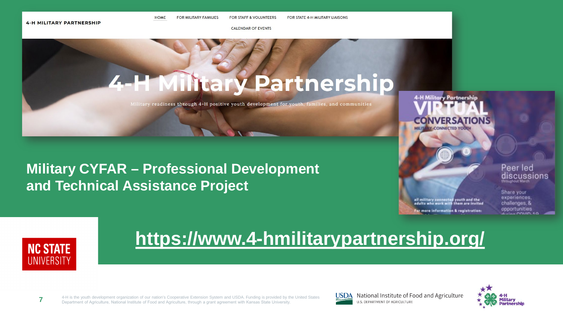FOR STATE 4-H MILITARY LIAISONS **FOR MILITARY FAMILIES FOR STAFF & VOLUNTEERS** 

**CALENDAR OF EVENTS** 

# **4-H Military Partnership**

Military readiness through 4-H positive youth development for youth, families, and communities

#### **Military CYFAR - Professional Development** and Technical Assistance Project

**HOME** 

**4-H Military Partnership CONNECTED YOUR** 

#### Peer led discussions

all military connected youth and the<br>adults who work with them are invited ler more information & registration:

Share your experiences. challenges, & opportunities



## https://www.4-hmilitarypartnership.org/

4-H is the youth development organization of our nation's Cooperative Extension System and USDA. Funding is provided by the United States  $\overline{7}$ Department of Agriculture, National Institute of Food and Agriculture, through a grant agreement with Kansas State University



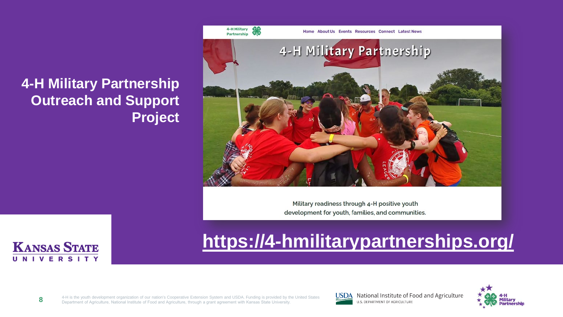#### **4-H Military Partnership Outreach and Support Project**



Military readiness through 4-H positive youth development for youth, families, and communities.



# **[https://4-hmilitarypartnerships.org/](about:blank)**

4-H is the youth development organization of our nation's Cooperative Extension System and USDA. Funding is provided by the United States Department of Agriculture, National Institute of Food and Agriculture, through a grant agreement with Kansas State University. **8**